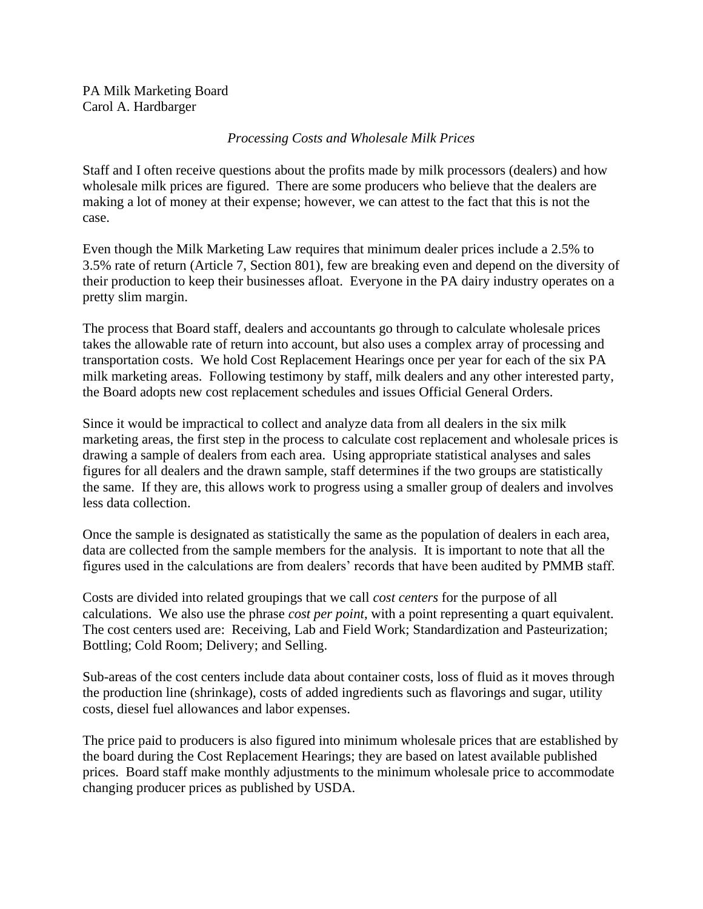PA Milk Marketing Board Carol A. Hardbarger

## *Processing Costs and Wholesale Milk Prices*

Staff and I often receive questions about the profits made by milk processors (dealers) and how wholesale milk prices are figured. There are some producers who believe that the dealers are making a lot of money at their expense; however, we can attest to the fact that this is not the case.

Even though the Milk Marketing Law requires that minimum dealer prices include a 2.5% to 3.5% rate of return (Article 7, Section 801), few are breaking even and depend on the diversity of their production to keep their businesses afloat. Everyone in the PA dairy industry operates on a pretty slim margin.

The process that Board staff, dealers and accountants go through to calculate wholesale prices takes the allowable rate of return into account, but also uses a complex array of processing and transportation costs. We hold Cost Replacement Hearings once per year for each of the six PA milk marketing areas. Following testimony by staff, milk dealers and any other interested party, the Board adopts new cost replacement schedules and issues Official General Orders.

Since it would be impractical to collect and analyze data from all dealers in the six milk marketing areas, the first step in the process to calculate cost replacement and wholesale prices is drawing a sample of dealers from each area. Using appropriate statistical analyses and sales figures for all dealers and the drawn sample, staff determines if the two groups are statistically the same. If they are, this allows work to progress using a smaller group of dealers and involves less data collection.

Once the sample is designated as statistically the same as the population of dealers in each area, data are collected from the sample members for the analysis. It is important to note that all the figures used in the calculations are from dealers' records that have been audited by PMMB staff.

Costs are divided into related groupings that we call *cost centers* for the purpose of all calculations. We also use the phrase *cost per point*, with a point representing a quart equivalent. The cost centers used are: Receiving, Lab and Field Work; Standardization and Pasteurization; Bottling; Cold Room; Delivery; and Selling.

Sub-areas of the cost centers include data about container costs, loss of fluid as it moves through the production line (shrinkage), costs of added ingredients such as flavorings and sugar, utility costs, diesel fuel allowances and labor expenses.

The price paid to producers is also figured into minimum wholesale prices that are established by the board during the Cost Replacement Hearings; they are based on latest available published prices. Board staff make monthly adjustments to the minimum wholesale price to accommodate changing producer prices as published by USDA.